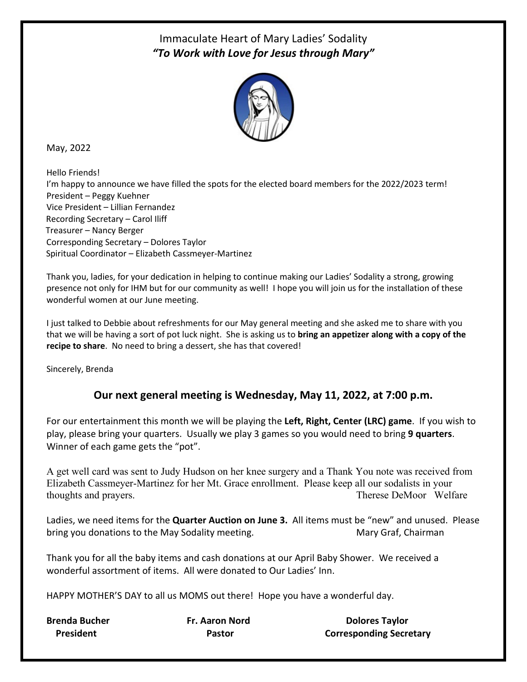## Immaculate Heart of Mary Ladies' Sodality *"To Work with Love for Jesus through Mary"*



May, 2022

Hello Friends! I'm happy to announce we have filled the spots for the elected board members for the 2022/2023 term! President – Peggy Kuehner Vice President – Lillian Fernandez Recording Secretary – Carol Iliff Treasurer – Nancy Berger Corresponding Secretary – Dolores Taylor Spiritual Coordinator – Elizabeth Cassmeyer-Martinez

Thank you, ladies, for your dedication in helping to continue making our Ladies' Sodality a strong, growing presence not only for IHM but for our community as well! I hope you will join us for the installation of these wonderful women at our June meeting.

I just talked to Debbie about refreshments for our May general meeting and she asked me to share with you that we will be having a sort of pot luck night. She is asking us to **bring an appetizer along with a copy of the recipe to share**. No need to bring a dessert, she has that covered!

Sincerely, Brenda

## **Our next general meeting is Wednesday, May 11, 2022, at 7:00 p.m.**

For our entertainment this month we will be playing the **Left, Right, Center (LRC) game**. If you wish to play, please bring your quarters. Usually we play 3 games so you would need to bring **9 quarters**. Winner of each game gets the "pot".

A get well card was sent to Judy Hudson on her knee surgery and a Thank You note was received from Elizabeth Cassmeyer-Martinez for her Mt. Grace enrollment. Please keep all our sodalists in your thoughts and prayers. Therese DeMoor Welfare

Ladies, we need items for the **Quarter Auction on June 3.** All items must be "new" and unused. Please bring you donations to the May Sodality meeting. The Mary Graf, Chairman

Thank you for all the baby items and cash donations at our April Baby Shower. We received a wonderful assortment of items. All were donated to Our Ladies' Inn.

HAPPY MOTHER'S DAY to all us MOMS out there! Hope you have a wonderful day.

**Brenda Bucher Fr. Aaron Nord Communist Control Constructs Dolores Taylor President Corresponding Secretary** Pastor Corresponding Secretary